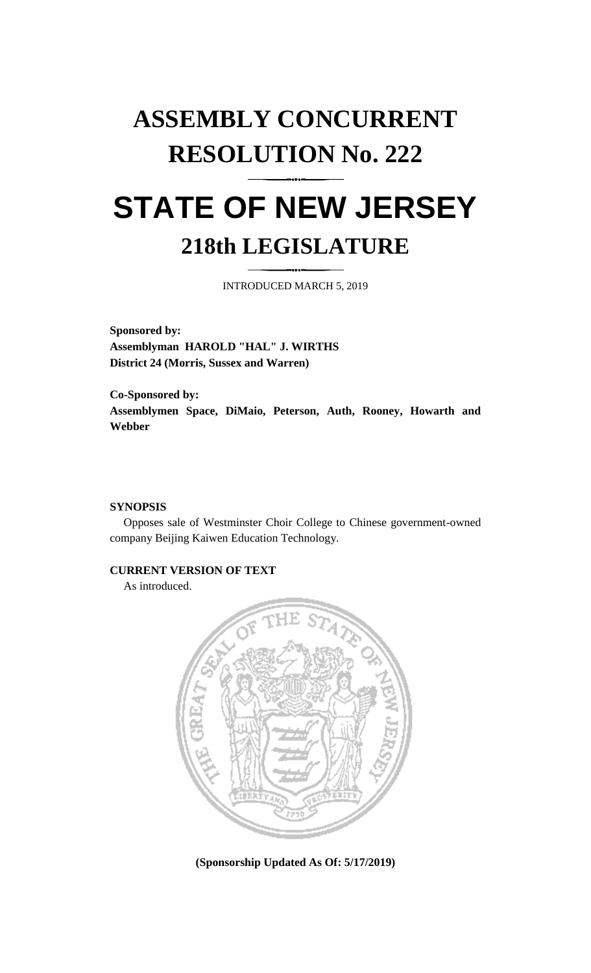## **ASSEMBLY CONCURRENT RESOLUTION No. 222**

## **STATE OF NEW JERSEY 218th LEGISLATURE**

INTRODUCED MARCH 5, 2019

**Sponsored by: Assemblyman HAROLD "HAL" J. WIRTHS District 24 (Morris, Sussex and Warren)**

**Co-Sponsored by: Assemblymen Space, DiMaio, Peterson, Auth, Rooney, Howarth and Webber**

## **SYNOPSIS**

Opposes sale of Westminster Choir College to Chinese government-owned company Beijing Kaiwen Education Technology.

## **CURRENT VERSION OF TEXT**

As introduced.



**(Sponsorship Updated As Of: 5/17/2019)**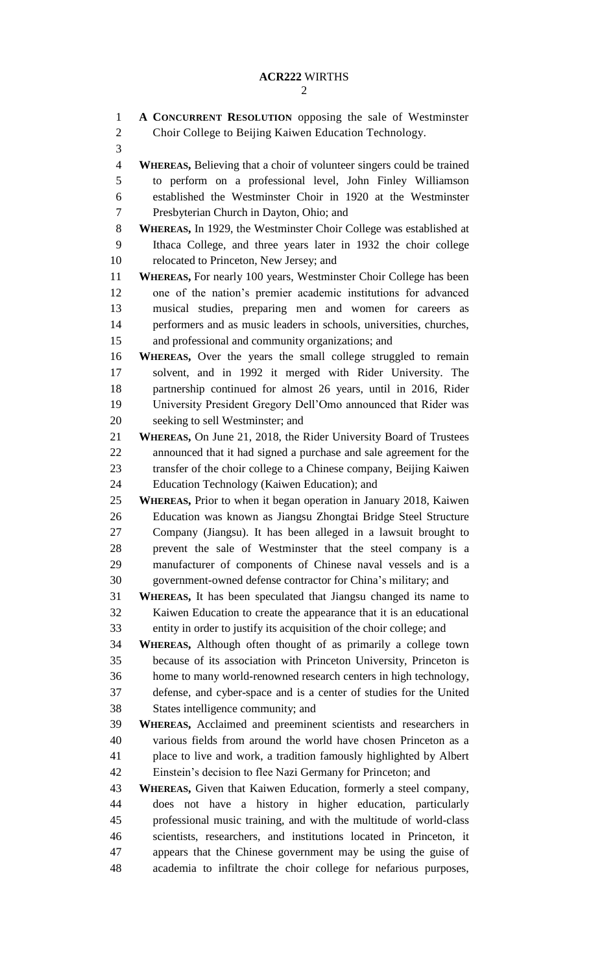**A CONCURRENT RESOLUTION** opposing the sale of Westminster Choir College to Beijing Kaiwen Education Technology. **WHEREAS,** Believing that a choir of volunteer singers could be trained to perform on a professional level, John Finley Williamson established the Westminster Choir in 1920 at the Westminster Presbyterian Church in Dayton, Ohio; and **WHEREAS,** In 1929, the Westminster Choir College was established at Ithaca College, and three years later in 1932 the choir college relocated to Princeton, New Jersey; and **WHEREAS,** For nearly 100 years, Westminster Choir College has been one of the nation's premier academic institutions for advanced musical studies, preparing men and women for careers as performers and as music leaders in schools, universities, churches, and professional and community organizations; and **WHEREAS,** Over the years the small college struggled to remain solvent, and in 1992 it merged with Rider University. The partnership continued for almost 26 years, until in 2016, Rider University President Gregory Dell'Omo announced that Rider was seeking to sell Westminster; and **WHEREAS,** On June 21, 2018, the Rider University Board of Trustees announced that it had signed a purchase and sale agreement for the transfer of the choir college to a Chinese company, Beijing Kaiwen Education Technology (Kaiwen Education); and **WHEREAS,** Prior to when it began operation in January 2018, Kaiwen Education was known as Jiangsu Zhongtai Bridge Steel Structure Company (Jiangsu). It has been alleged in a lawsuit brought to prevent the sale of Westminster that the steel company is a manufacturer of components of Chinese naval vessels and is a government-owned defense contractor for China's military; and **WHEREAS,** It has been speculated that Jiangsu changed its name to Kaiwen Education to create the appearance that it is an educational entity in order to justify its acquisition of the choir college; and **WHEREAS,** Although often thought of as primarily a college town because of its association with Princeton University, Princeton is home to many world-renowned research centers in high technology, defense, and cyber-space and is a center of studies for the United States intelligence community; and **WHEREAS,** Acclaimed and preeminent scientists and researchers in various fields from around the world have chosen Princeton as a place to live and work, a tradition famously highlighted by Albert Einstein's decision to flee Nazi Germany for Princeton; and **WHEREAS,** Given that Kaiwen Education, formerly a steel company, does not have a history in higher education, particularly professional music training, and with the multitude of world-class scientists, researchers, and institutions located in Princeton, it appears that the Chinese government may be using the guise of academia to infiltrate the choir college for nefarious purposes,